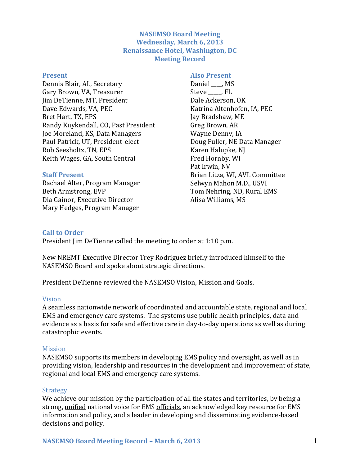## **NASEMSO Board Meeting Wednesday, March 6, 2013 Renaissance Hotel, Washington, DC Meeting Record**

#### **Present**

Dennis Blair, AL, Secretary Gary Brown, VA, Treasurer Jim DeTienne, MT, President Dave Edwards, VA, PEC Bret Hart, TX, EPS Randy Kuykendall, CO, Past President Joe Moreland, KS, Data Managers Paul Patrick, UT, President-elect Rob Seesholtz, TN, EPS Keith Wages, GA, South Central

#### **Staff Present**

Rachael Alter, Program Manager Beth Armstrong, EVP Dia Gainor, Executive Director Mary Hedges, Program Manager

**Also Present** Daniel \_\_\_\_, MS Steve, FL Dale Ackerson, OK Katrina Altenhofen, IA, PEC Jay Bradshaw, ME Greg Brown, AR Wayne Denny, IA Doug Fuller, NE Data Manager Karen Halupke, NJ Fred Hornby, WI Pat Irwin, NV Brian Litza, WI, AVL Committee Selwyn Mahon M.D., USVI Tom Nehring, ND, Rural EMS

Alisa Williams, MS

### **Call to Order**

President Jim DeTienne called the meeting to order at 1:10 p.m.

New NREMT Executive Director Trey Rodriguez briefly introduced himself to the NASEMSO Board and spoke about strategic directions.

President DeTienne reviewed the NASEMSO Vision, Mission and Goals.

#### Vision

A seamless nationwide network of coordinated and accountable state, regional and local EMS and emergency care systems. The systems use public health principles, data and evidence as a basis for safe and effective care in day-to-day operations as well as during catastrophic events.

#### Mission

NASEMSO supports its members in developing EMS policy and oversight, as well as in providing vision, leadership and resources in the development and improvement of state, regional and local EMS and emergency care systems.

#### **Strategy**

We achieve our mission by the participation of all the states and territories, by being a strong, unified national voice for EMS officials, an acknowledged key resource for EMS information and policy, and a leader in developing and disseminating evidence-based decisions and policy.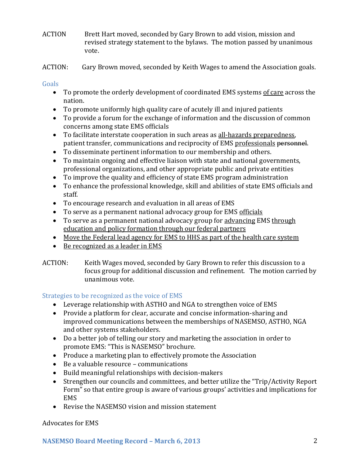- ACTION Brett Hart moved, seconded by Gary Brown to add vision, mission and revised strategy statement to the bylaws. The motion passed by unanimous vote.
- ACTION: Gary Brown moved, seconded by Keith Wages to amend the Association goals.

# Goals

- To promote the orderly development of coordinated EMS systems of care across the nation.
- To promote uniformly high quality care of acutely ill and injured patients
- To provide a forum for the exchange of information and the discussion of common concerns among state EMS officials
- To facilitate interstate cooperation in such areas as all-hazards preparedness, patient transfer, communications and reciprocity of EMS professionals personnel.
- To disseminate pertinent information to our membership and others.
- To maintain ongoing and effective liaison with state and national governments, professional organizations, and other appropriate public and private entities
- To improve the quality and efficiency of state EMS program administration
- To enhance the professional knowledge, skill and abilities of state EMS officials and staff.
- To encourage research and evaluation in all areas of EMS
- To serve as a permanent national advocacy group for EMS officials
- To serve as a permanent national advocacy group for advancing EMS through education and policy formation through our federal partners
- Move the Federal lead agency for EMS to HHS as part of the health care system
- Be recognized as a leader in EMS
- ACTION: Keith Wages moved, seconded by Gary Brown to refer this discussion to a focus group for additional discussion and refinement. The motion carried by unanimous vote.

# Strategies to be recognized as the voice of EMS

- Leverage relationship with ASTHO and NGA to strengthen voice of EMS
- Provide a platform for clear, accurate and concise information-sharing and improved communications between the memberships of NASEMSO, ASTHO, NGA and other systems stakeholders.
- Do a better job of telling our story and marketing the association in order to promote EMS: "This is NASEMSO" brochure.
- Produce a marketing plan to effectively promote the Association
- Be a valuable resource communications
- Build meaningful relationships with decision-makers
- Strengthen our councils and committees, and better utilize the "Trip/Activity Report Form" so that entire group is aware of various groups' activities and implications for EMS
- Revise the NASEMSO vision and mission statement

# Advocates for EMS